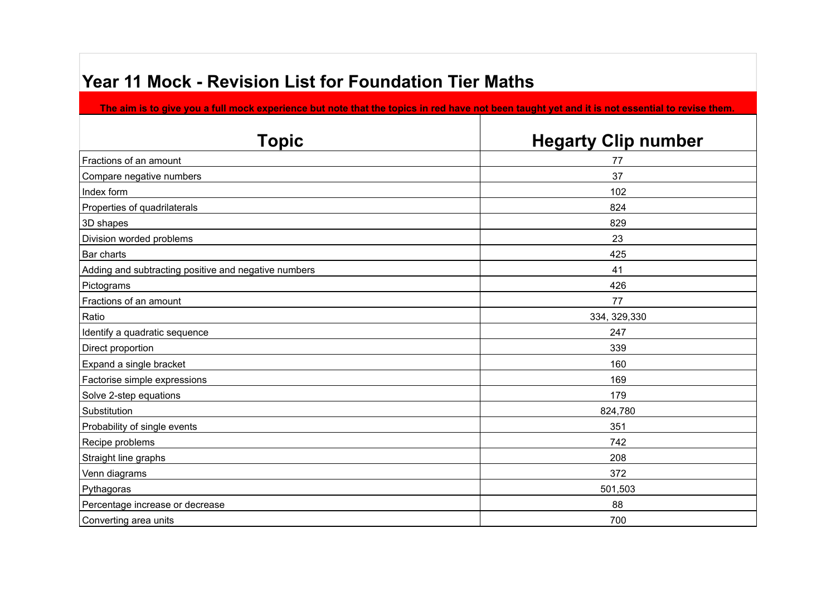## **Year 11 Mock - Revision List for Foundation Tier Maths**

**The aim is to give you a full mock experience but note that the topics in red have not been taught yet and it is not essential to revise them.**

| <b>Topic</b>                                         | <b>Hegarty Clip number</b> |
|------------------------------------------------------|----------------------------|
| Fractions of an amount                               | 77                         |
| Compare negative numbers                             | 37                         |
| Index form                                           | 102                        |
| Properties of quadrilaterals                         | 824                        |
| 3D shapes                                            | 829                        |
| Division worded problems                             | 23                         |
| Bar charts                                           | 425                        |
| Adding and subtracting positive and negative numbers | 41                         |
| Pictograms                                           | 426                        |
| Fractions of an amount                               | 77                         |
| Ratio                                                | 334, 329, 330              |
| Identify a quadratic sequence                        | 247                        |
| Direct proportion                                    | 339                        |
| Expand a single bracket                              | 160                        |
| Factorise simple expressions                         | 169                        |
| Solve 2-step equations                               | 179                        |
| Substitution                                         | 824,780                    |
| Probability of single events                         | 351                        |
| Recipe problems                                      | 742                        |
| Straight line graphs                                 | 208                        |
| Venn diagrams                                        | 372                        |
| Pythagoras                                           | 501,503                    |
| Percentage increase or decrease                      | 88                         |
| Converting area units                                | 700                        |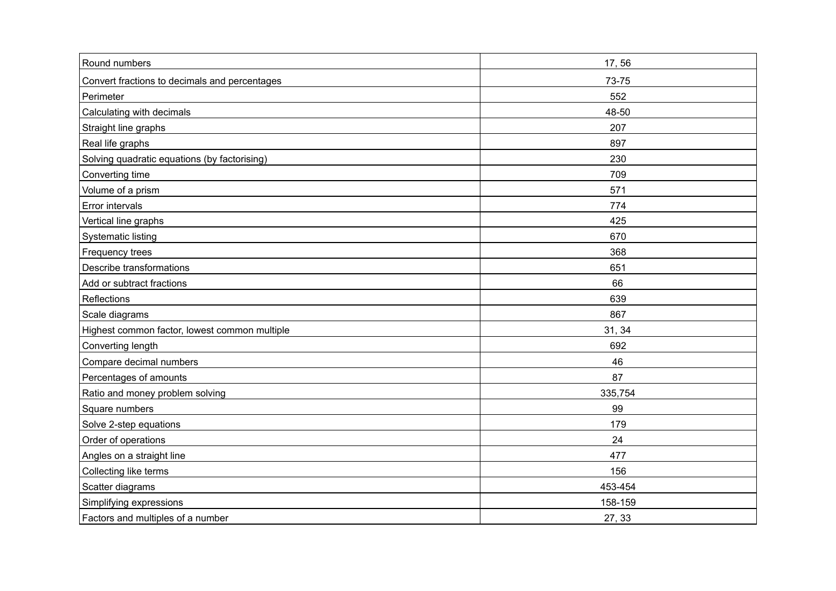| Round numbers                                 | 17,56   |
|-----------------------------------------------|---------|
| Convert fractions to decimals and percentages | 73-75   |
| Perimeter                                     | 552     |
| Calculating with decimals                     | 48-50   |
| Straight line graphs                          | 207     |
| Real life graphs                              | 897     |
| Solving quadratic equations (by factorising)  | 230     |
| Converting time                               | 709     |
| Volume of a prism                             | 571     |
| Error intervals                               | 774     |
| Vertical line graphs                          | 425     |
| <b>Systematic listing</b>                     | 670     |
| Frequency trees                               | 368     |
| Describe transformations                      | 651     |
| Add or subtract fractions                     | 66      |
| Reflections                                   | 639     |
| Scale diagrams                                | 867     |
| Highest common factor, lowest common multiple | 31, 34  |
| Converting length                             | 692     |
| Compare decimal numbers                       | 46      |
| Percentages of amounts                        | 87      |
| Ratio and money problem solving               | 335,754 |
| Square numbers                                | 99      |
| Solve 2-step equations                        | 179     |
| Order of operations                           | 24      |
| Angles on a straight line                     | 477     |
| Collecting like terms                         | 156     |
| Scatter diagrams                              | 453-454 |
| Simplifying expressions                       | 158-159 |
| Factors and multiples of a number             | 27, 33  |